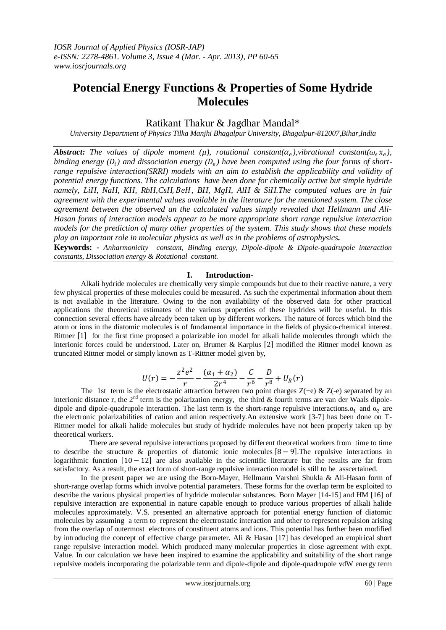# **Potencial Energy Functions & Properties of Some Hydride Molecules**

## Ratikant Thakur & Jagdhar Mandal\*

*University Department of Physics Tilka Manjhi Bhagalpur University, Bhagalpur-812007,Bihar,India*

*Abstract:* The values of dipole moment ( $\mu$ ), rotational constant( $\alpha_e$ ), vibrational constant( $\omega_e x_e$ ), *binding energy*  $(D_i)$  and dissociation energy  $(D_e)$  have been computed using the four forms of short*range repulsive interaction(SRRI) models with an aim to establish the applicability and validity of potential energy functions. The calculations have been done for chemically active but simple hydride namely, LiH, NaH, KH, RbH,CsH,BeH, BH, MgH, AlH & SiH.The computed values are in fair agreement with the experimental values available in the literature for the mentioned system. The close agreement between the observed an the calculated values simply revealed that Hellmann and Ali-Hasan forms of interaction models appear to be more appropriate short range repulsive interaction models for the prediction of many other properties of the system. This study shows that these models play an important role in molecular physics as well as in the problems of astrophysics.*

**Keywords: -** *Anharmonicity constant, Binding energy, Dipole-dipole & Dipole-quadrupole interaction constants, Dissociation energy & Rotational constant.*

### **I. Introduction-**

Alkali hydride molecules are chemically very simple compounds but due to their reactive nature, a very few physical properties of these molecules could be measured. As such the experimental information about them is not available in the literature. Owing to the non availability of the observed data for other practical applications the theoretical estimates of the various properties of these hydrides will be useful. In this connection several effects have already been taken up by different workers. The nature of forces which bind the atom or ions in the diatomic molecules is of fundamental importance in the fields of physico-chemical interest. Rittner  $[1]$  for the first time proposed a polarizable ion model for alkali halide molecules through which the interionic forces could be understood. Later on, Brumer & Karplus [2] modified the Rittner model known as truncated Rittner model or simply known as T-Rittner model given by,

$$
U(r) = -\frac{z^2 e^2}{r} - \frac{(\alpha_1 + \alpha_2)}{2r^4} - \frac{C}{r^6} - \frac{D}{r^8} + U_R(r)
$$

The 1st term is the electrostatic attraction between two point charges  $Z(+e) \& Z(-e)$  separated by an interionic distance r, the  $2<sup>nd</sup>$  term is the polarization energy, the third & fourth terms are van der Waals dipoledipole and dipole-quadrupole interaction. The last term is the short-range repulsive interactions. $\alpha_1$  and  $\alpha_2$  are the electronic polarizabilities of cation and anion respectively.An extensive work [3-7] has been done on T-Rittner model for alkali halide molecules but study of hydride molecules have not been properly taken up by theoretical workers.

 There are several repulsive interactions proposed by different theoretical workers from time to time to describe the structure & properties of diatomic ionic molecules  $[8 - 9]$ . The repulsive interactions in logarithmic function  $[10 - 12]$  are also available in the scientific literature but the results are far from satisfactory. As a result, the exact form of short-range repulsive interaction model is still to be asscertained.

 In the present paper we are using the Born-Mayer, Hellmann Varshni Shukla & Ali-Hasan form of short-range overlap forms which involve potential parameters. These forms for the overlap term be exploited to describe the various physical properties of hydride molecular substances. Born Mayer [14-15] and HM [16] of repulsive interaction are exponential in nature capable enough to produce various properties of alkali halide molecules approximately. V.S. presented an alternative approach for potential energy function of diatomic molecules by assuming a term to represent the electrostatic interaction and other to represent repulsion arising from the overlap of outermost electrons of constituent atoms and ions. This potential has further been modified by introducing the concept of effective charge parameter. Ali & Hasan [17] has developed an empirical short range repulsive interaction model. Which produced many molecular properties in close agreement with expt. Value. In our calculation we have been inspired to examine the applicability and suitability of the short range repulsive models incorporating the polarizable term and dipole-dipole and dipole-quadrupole vdW energy term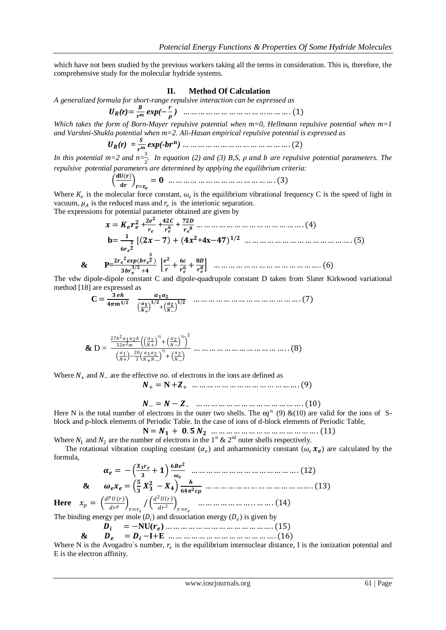which have not been studied by the previous workers taking all the terms in consideration. This is, therefore, the comprehensive study for the molecular hydride systems.

#### **II. Method Of Calculation**

*A generalized formula for short-range repulsive interaction can be expressed as*

 *(r)*= *exp(*− *)* … … … … … … … … … … … … … … . (1)

*Which takes the form of Born-Mayer repulsive potential when m=0, Hellmann repulsive potential when m=1 and Varshni-Shukla potential when m=2. Ali-Hasan empirical repulsive potential is expressed as*

 *(r) = exp(-b )* … … … … … … … … … … … … … … . (2)

In this potential m=2 and  $n=\frac{3}{2}$ . In equation (2) and (3) B,S,  $\rho$  and  $b$  are repulsive potential parameters. The *repulsive potential parameters are determined by applying the equilibrium criteria:*

() = = … … … … … … … … … … … … … … . (3)

Where  $K_e$  is the molecular force constant,  $\omega_e$  is the equilibrium vibrational frequency C is the speed of light in vacuum,  $\mu_A$  is the reduced mass and  $r_e$  is the interionic separation.

The expressions for potential parameter obtained are given by

**& P=**

 = **+ + +** … … … … … … … … … … … … … … . (4)  **b**= [ − + ( **+4x**−) / … … … … … … … … … … … … … … . (5) ( ) / + + + … … … … … … … … … … … … … … . (6)

The vdw dipole-dipole constant C and dipole-quadrupole constant D taken from Slater Kirkwood variational method [18] are expressed as

 **C** = / + / + − / … … … … … … … … … … … … … … . (7)

**&** D = 27ℎ <sup>2</sup>12<sup>ℎ</sup> 322 1 + *½* + 2 − *½* 2 1 + − 20 3 12 +− *½* + 2 − … … … … … … … … … … … … . . (8)

Where  $N_+$  and  $N_-$  are the effective no. of electrons in the ions are defined as

 $N_+ = N + Z_+$  … … … … … … … … … … … … … … . (9)

$$
N_{-} = N - Z_{-} \quad \dots \dots \dots \dots \dots \dots \dots \dots \dots \dots \dots \dots (10)
$$

Here N is the total number of electrons in the outer two shells. The eq<sup>n</sup> (9) &(10) are valid for the ions of Sblock and p-block elements of Periodic Table. In the case of ions of d-block elements of Periodic Table,

 **N** = + . … … … … … … … … … … … … … … . (11)

Where  $N_1$  and  $N_2$  are the number of electrons in the 1<sup>st</sup> & 2<sup>nd</sup> outer shells respectively.

The rotational vibration coupling constant  $(\alpha_e)$  and anharmonicity constant  $(\omega_e \mathcal{X}_e)$  are calculated by the formula,

 = − + … … … … … … … … … … … … … … . (12) **&**  = − *µ* … … … … … … … … … … … … … … . (13) **Here**  = () = / <sup>2</sup> 2 = … … … … … … … . . … … . 14

The binding energy per mole  $(D_i)$  and ) and dissociation energy  $(D_e)$  is given by

$$
D_i = -NU(r_e) \dots \dots \dots \dots \dots \dots \dots \dots \dots \dots \dots \dots \dots (15)
$$
  
& 
$$
D_e = D_i - I + E \dots \dots \dots \dots \dots \dots \dots \dots \dots \dots \dots \dots (16)
$$

Where N is the Avogadro's number,  $r_e$  is the equilibrium internuclear distance, I is the ionization potential and E is the electron affinity.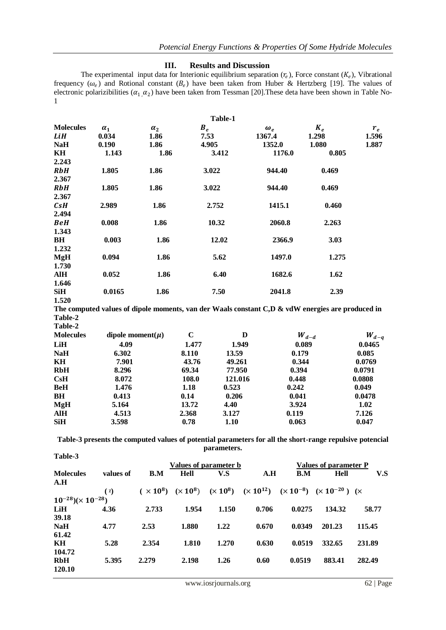#### **III. Results and Discussion**

The experimental input data for Interionic equilibrium separation  $(r_e)$ , Force constant  $(K_e)$ , Vibrational frequency  $(\omega_e)$  and Rotional constant  $(B_e)$  have been taken from Huber & Hertzberg [19]. The values of electronic polarizibilities ( $\alpha_1$ , $\alpha_2$ ) have been taken from Tessman [20]. These deta have been shown in Table No-1

|                  |            |            | Table-1 |            |       |       |
|------------------|------------|------------|---------|------------|-------|-------|
| <b>Molecules</b> | $\alpha_1$ | $\alpha_2$ | $B_e$   | $\omega_e$ | $K_e$ | $r_e$ |
| LiH              | 0.034      | 1.86       | 7.53    | 1367.4     | 1.298 | 1.596 |
| <b>NaH</b>       | 0.190      | 1.86       | 4.905   | 1352.0     | 1.080 | 1.887 |
| KH               | 1.143      | 1.86       | 3.412   | 1176.0     | 0.805 |       |
| 2.243            |            |            |         |            |       |       |
| <b>RbH</b>       | 1.805      | 1.86       | 3.022   | 944.40     | 0.469 |       |
| 2.367            |            |            |         |            |       |       |
| <b>RbH</b>       | 1.805      | 1.86       | 3.022   | 944.40     | 0.469 |       |
| 2.367            |            |            |         |            |       |       |
| CsH              | 2.989      | 1.86       | 2.752   | 1415.1     | 0.460 |       |
| 2.494            |            |            |         |            |       |       |
| <b>BeH</b>       | 0.008      | 1.86       | 10.32   | 2060.8     | 2.263 |       |
| 1.343            |            |            |         |            |       |       |
| BH               | 0.003      | 1.86       | 12.02   | 2366.9     | 3.03  |       |
| 1.232            |            |            |         |            |       |       |
| <b>MgH</b>       | 0.094      | 1.86       | 5.62    | 1497.0     | 1.275 |       |
| 1.730            |            |            |         |            |       |       |
| AlH              | 0.052      | 1.86       | 6.40    | 1682.6     | 1.62  |       |
| 1.646            |            |            |         |            |       |       |
| SiH              | 0.0165     | 1.86       | 7.50    | 2041.8     | 2.39  |       |
| 1.520            |            |            |         |            |       |       |

**The computed values of dipole moments, van der Waals constant C,D & vdW energies are produced in Table-2 Table-2** 

| <b>Molecules</b> | dipole moment( $\mu$ ) | C     | D       | $W_{d-d}$ | $W_{d-q}$ |
|------------------|------------------------|-------|---------|-----------|-----------|
| LiH              | 4.09                   | 1.477 | 1.949   | 0.089     | 0.0465    |
| <b>NaH</b>       | 6.302                  | 8.110 | 13.59   | 0.179     | 0.085     |
| KH               | 7.901                  | 43.76 | 49.261  | 0.344     | 0.0769    |
| <b>RbH</b>       | 8.296                  | 69.34 | 77.950  | 0.394     | 0.0791    |
| CsH              | 8.072                  | 108.0 | 121.016 | 0.448     | 0.0808    |
| <b>BeH</b>       | 1.476                  | 1.18  | 0.523   | 0.242     | 0.049     |
| <b>BH</b>        | 0.413                  | 0.14  | 0.206   | 0.041     | 0.0478    |
| <b>MgH</b>       | 5.164                  | 13.72 | 4.40    | 3.924     | 1.02      |
| <b>AlH</b>       | 4.513                  | 2.368 | 3.127   | 0.119     | 7.126     |
| <b>SiH</b>       | 3.598                  | 0.78  | 1.10    | 0.063     | 0.047     |

**Table-3 presents the computed values of potential parameters for all the short-range repulsive potencial parameters. Table-3**

|                                |           | Values of parameter b |       |       |       | Values of parameter P |                                                                                                                     |        |  |
|--------------------------------|-----------|-----------------------|-------|-------|-------|-----------------------|---------------------------------------------------------------------------------------------------------------------|--------|--|
| <b>Molecules</b>               | values of | B.M                   | Hell  | V.S   | A.H   | B.M                   | <b>Hell</b>                                                                                                         | V.S    |  |
| A.H                            |           |                       |       |       |       |                       |                                                                                                                     |        |  |
|                                | (x)       |                       |       |       |       |                       | $(\times 10^8)$ $(\times 10^8)$ $(\times 10^8)$ $(\times 10^{12})$ $(\times 10^{-8})$ $(\times 10^{-20})$ $(\times$ |        |  |
| $10^{-28}$ $(\times 10^{-28})$ |           |                       |       |       |       |                       |                                                                                                                     |        |  |
| LiH                            | 4.36      | 2.733                 | 1.954 | 1.150 | 0.706 | 0.0275                | 134.32                                                                                                              | 58.77  |  |
| 39.18                          |           |                       |       |       |       |                       |                                                                                                                     |        |  |
| <b>NaH</b>                     | 4.77      | 2.53                  | 1.880 | 1.22  | 0.670 | 0.0349                | 201.23                                                                                                              | 115.45 |  |
| 61.42                          |           |                       |       |       |       |                       |                                                                                                                     |        |  |
| KH                             | 5.28      | 2.354                 | 1.810 | 1.270 | 0.630 | 0.0519                | 332.65                                                                                                              | 231.89 |  |
| 104.72                         |           |                       |       |       |       |                       |                                                                                                                     |        |  |
| <b>RbH</b>                     | 5.395     | 2.279                 | 2.198 | 1.26  | 0.60  | 0.0519                | 883.41                                                                                                              | 282.49 |  |
| 120.10                         |           |                       |       |       |       |                       |                                                                                                                     |        |  |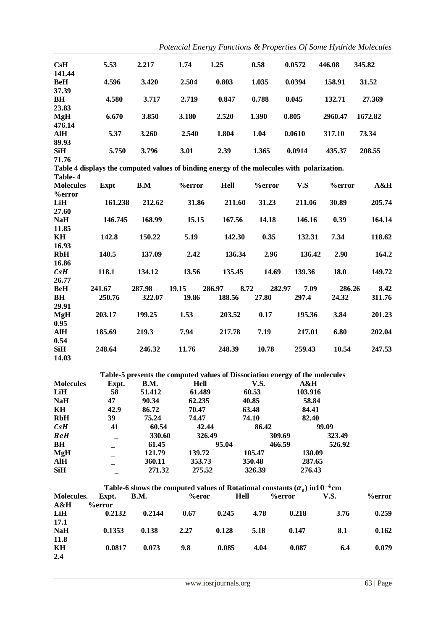| CsH                 | 5.53                                                                                       | 2.217       | 1.74                                                                                          | 1.25        | 0.58           | 0.0572  | 446.08        | 345.82        |
|---------------------|--------------------------------------------------------------------------------------------|-------------|-----------------------------------------------------------------------------------------------|-------------|----------------|---------|---------------|---------------|
| 141.44              |                                                                                            |             |                                                                                               |             |                |         |               |               |
| <b>BeH</b>          | 4.596                                                                                      | 3.420       | 2.504                                                                                         | 0.803       | 1.035          | 0.0394  | 158.91        | 31.52         |
| 37.39               |                                                                                            |             |                                                                                               |             |                |         |               |               |
| B <sub>H</sub>      | 4.580                                                                                      | 3.717       | 2.719                                                                                         | 0.847       | 0.788          | 0.045   | 132.71        | 27.369        |
| 23.83               |                                                                                            |             |                                                                                               |             |                |         |               |               |
| <b>MgH</b>          | 6.670                                                                                      | 3.850       | 3.180                                                                                         | 2.520       | 1.390          | 0.805   | 2960.47       | 1672.82       |
| 476.14              |                                                                                            |             |                                                                                               |             |                |         |               |               |
| <b>AlH</b>          | 5.37                                                                                       | 3.260       | 2.540                                                                                         | 1.804       | 1.04           | 0.0610  | 317.10        | 73.34         |
| 89.93<br><b>SiH</b> |                                                                                            |             |                                                                                               |             |                | 0.0914  |               |               |
| 71.76               | 5.750                                                                                      | 3.796       | 3.01                                                                                          | 2.39        | 1.365          |         | 435.37        | 208.55        |
|                     | Table 4 displays the computed values of binding energy of the molecules with polarization. |             |                                                                                               |             |                |         |               |               |
| Table-4             |                                                                                            |             |                                                                                               |             |                |         |               |               |
| <b>Molecules</b>    | <b>Expt</b>                                                                                | B.M         | <b>%error</b>                                                                                 | Hell        | <b>%error</b>  | V.S     | <b>%error</b> | A&H           |
| <b>%error</b>       |                                                                                            |             |                                                                                               |             |                |         |               |               |
| LiH                 | 161.238                                                                                    | 212.62      | 31.86                                                                                         | 211.60      | 31.23          | 211.06  | 30.89         | 205.74        |
| 27.60               |                                                                                            |             |                                                                                               |             |                |         |               |               |
| <b>NaH</b>          | 146.745                                                                                    | 168.99      | 15.15                                                                                         | 167.56      | 14.18          | 146.16  | 0.39          | 164.14        |
| 11.85               |                                                                                            |             |                                                                                               |             |                |         |               |               |
| KH                  | 142.8                                                                                      | 150.22      | 5.19                                                                                          | 142.30      | 0.35           | 132.31  | 7.34          | 118.62        |
| 16.93               |                                                                                            |             |                                                                                               |             |                |         |               |               |
| <b>RbH</b>          | 140.5                                                                                      | 137.09      | 2.42                                                                                          | 136.34      | 2.96           | 136.42  | 2.90          | 164.2         |
| 16.86               |                                                                                            |             |                                                                                               |             |                |         |               |               |
| CsH                 | 118.1                                                                                      | 134.12      | 13.56                                                                                         | 135.45      | 14.69          | 139.36  | 18.0          | 149.72        |
| 26.77               |                                                                                            |             |                                                                                               |             |                |         |               |               |
| <b>BeH</b>          | 241.67                                                                                     | 287.98      | 19.15                                                                                         | 286.97      | 8.72<br>282.97 | 7.09    | 286.26        | 8.42          |
| <b>BH</b>           | 250.76                                                                                     | 322.07      | 19.86                                                                                         | 188.56      | 27.80          | 297.4   | 24.32         | 311.76        |
| 29.91               |                                                                                            |             |                                                                                               |             |                |         |               |               |
| <b>MgH</b>          | 203.17                                                                                     | 199.25      | 1.53                                                                                          | 203.52      | 0.17           | 195.36  | 3.84          | 201.23        |
| 0.95<br><b>AlH</b>  |                                                                                            | 219.3       | 7.94                                                                                          | 217.78      | 7.19           | 217.01  | 6.80          | 202.04        |
| 0.54                | 185.69                                                                                     |             |                                                                                               |             |                |         |               |               |
| <b>SiH</b>          | 248.64                                                                                     | 246.32      | 11.76                                                                                         | 248.39      | 10.78          | 259.43  | 10.54         | 247.53        |
| 14.03               |                                                                                            |             |                                                                                               |             |                |         |               |               |
|                     |                                                                                            |             |                                                                                               |             |                |         |               |               |
|                     |                                                                                            |             | Table-5 presents the computed values of Dissociation energy of the molecules                  |             |                |         |               |               |
| <b>Molecules</b>    | Expt.                                                                                      | B.M.        | <b>Hell</b>                                                                                   |             | <b>V.S.</b>    | A&H     |               |               |
| LiH                 | 58                                                                                         | 51.412      | 61.489                                                                                        |             | 60.53          | 103.916 |               |               |
| <b>NaH</b>          | 47                                                                                         | 90.34       | 62.235                                                                                        |             | 40.85          | 58.84   |               |               |
| KH                  | 42.9                                                                                       | 86.72       | 70.47                                                                                         |             | 63.48          | 84.41   |               |               |
| <b>RbH</b>          | 39                                                                                         | 75.24       | 74.47                                                                                         |             | 74.10          | 82.40   |               |               |
| CsH                 | 41                                                                                         | 60.54       | 42.44                                                                                         |             | 86.42          |         | 99.09         |               |
| <b>BeH</b>          |                                                                                            | 330.60      | 326.49                                                                                        |             | 309.69         |         | 323.49        |               |
| B <sub>H</sub>      |                                                                                            | 61.45       |                                                                                               | 95.04       | 466.59         |         | 526.92        |               |
| <b>MgH</b>          |                                                                                            | 121.79      | 139.72                                                                                        |             | 105.47         | 130.09  |               |               |
| <b>AlH</b>          |                                                                                            | 360.11      | 353.73                                                                                        |             | 350.48         | 287.65  |               |               |
| <b>SiH</b>          |                                                                                            | 271.32      | 275.52                                                                                        |             | 326.39         | 276.43  |               |               |
|                     |                                                                                            |             |                                                                                               |             |                |         |               |               |
|                     |                                                                                            |             | Table-6 shows the computed values of Rotational constants $(\alpha_e)$ in 10 <sup>-4</sup> cm |             |                |         |               |               |
| Molecules.<br>A&H   | Expt.<br>$\%$ error                                                                        | <b>B.M.</b> | <b>%eror</b>                                                                                  | <b>Hell</b> |                | %error  | <b>V.S.</b>   | <b>%error</b> |
| LiH                 | 0.2132                                                                                     | 0.2144      | 0.67                                                                                          | 0.245       | 4.78           | 0.218   | 3.76          | 0.259         |
| 17.1                |                                                                                            |             |                                                                                               |             |                |         |               |               |
| <b>NaH</b>          | 0.1353                                                                                     | 0.138       | 2.27                                                                                          | 0.128       | 5.18           | 0.147   | 8.1           | 0.162         |
| 11.8                |                                                                                            |             |                                                                                               |             |                |         |               |               |
| KH                  | 0.0817                                                                                     | 0.073       | 9.8                                                                                           | 0.085       | 4.04           | 0.087   | 6.4           | 0.079         |
| 2.4                 |                                                                                            |             |                                                                                               |             |                |         |               |               |
|                     |                                                                                            |             |                                                                                               |             |                |         |               |               |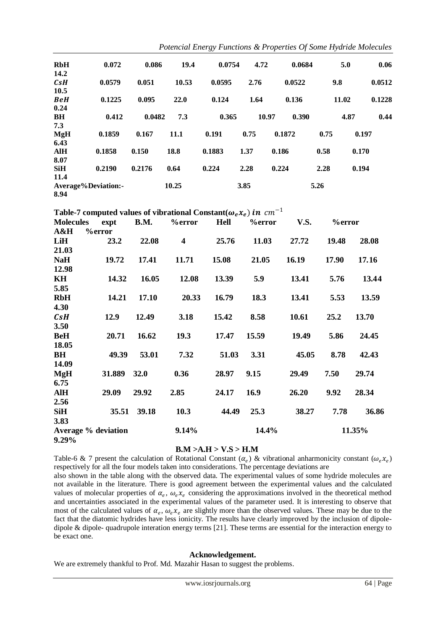| <b>RbH</b>         | 0.072               | 0.086  | 19.4  | 0.0754 | 4.72 | 0.0684         |      | 5.0   | 0.06   |
|--------------------|---------------------|--------|-------|--------|------|----------------|------|-------|--------|
| 14.2               |                     |        |       |        |      |                |      |       |        |
| $c_{\mathcal{S}}H$ | 0.0579              | 0.051  | 10.53 | 0.0595 | 2.76 | 0.0522         | 9.8  |       | 0.0512 |
| 10.5               |                     |        |       |        |      |                |      |       |        |
| <b>BeH</b>         | 0.1225              | 0.095  | 22.0  | 0.124  | 1.64 | 0.136          |      | 11.02 | 0.1228 |
| 0.24               |                     |        |       |        |      |                |      |       |        |
| <b>BH</b>          | 0.412               | 0.0482 | 7.3   | 0.365  |      | 10.97<br>0.390 |      | 4.87  | 0.44   |
| 7.3                |                     |        |       |        |      |                |      |       |        |
| <b>MgH</b>         | 0.1859              | 0.167  | 11.1  | 0.191  | 0.75 | 0.1872         | 0.75 | 0.197 |        |
| 6.43               |                     |        |       |        |      |                |      |       |        |
| <b>AlH</b>         | 0.1858              | 0.150  | 18.8  | 0.1883 | 1.37 | 0.186          | 0.58 | 0.170 |        |
| 8.07               |                     |        |       |        |      |                |      |       |        |
| <b>SiH</b>         | 0.2190              | 0.2176 | 0.64  | 0.224  | 2.28 | 0.224          | 2.28 | 0.194 |        |
| 11.4               |                     |        |       |        |      |                |      |       |        |
| 8.94               | Average%Deviation:- |        | 10.25 |        | 3.85 |                | 5.26 |       |        |

Table-7 computed values of vibrational Constant( $\omega_e x_e$ ) in  $cm^{-1}$ 

| <b>Molecules</b>           | expt          | <b>B.M.</b> | <b>%error</b>           | <b>Hell</b> | <b>%error</b> | <b>V.S.</b> | %error |        |
|----------------------------|---------------|-------------|-------------------------|-------------|---------------|-------------|--------|--------|
| A&H                        | <b>%error</b> |             |                         |             |               |             |        |        |
| LiH                        | 23.2          | 22.08       | $\overline{\mathbf{4}}$ | 25.76       | 11.03         | 27.72       | 19.48  | 28.08  |
| 21.03                      |               |             |                         |             |               |             |        |        |
| <b>NaH</b>                 | 19.72         | 17.41       | 11.71                   | 15.08       | 21.05         | 16.19       | 17.90  | 17.16  |
| 12.98                      |               |             |                         |             |               |             |        |        |
| KH                         | 14.32         | 16.05       | 12.08                   | 13.39       | 5.9           | 13.41       | 5.76   | 13.44  |
| 5.85                       |               |             |                         |             |               |             |        |        |
| <b>RbH</b>                 | 14.21         | 17.10       | 20.33                   | 16.79       | 18.3          | 13.41       | 5.53   | 13.59  |
| 4.30                       |               |             |                         |             |               |             |        |        |
| CsH                        | 12.9          | 12.49       | 3.18                    | 15.42       | 8.58          | 10.61       | 25.2   | 13.70  |
| 3.50                       |               |             |                         |             |               |             |        |        |
| <b>BeH</b>                 | 20.71         | 16.62       | 19.3                    | 17.47       | 15.59         | 19.49       | 5.86   | 24.45  |
| 18.05                      |               |             |                         |             |               |             |        |        |
| BH                         | 49.39         | 53.01       | 7.32                    | 51.03       | 3.31          | 45.05       | 8.78   | 42.43  |
| 14.09                      |               |             |                         |             |               |             |        |        |
| MgH                        | 31.889        | <b>32.0</b> | 0.36                    | 28.97       | 9.15          | 29.49       | 7.50   | 29.74  |
| 6.75                       |               |             |                         |             |               |             |        |        |
| AlH                        | 29.09         | 29.92       | 2.85                    | 24.17       | 16.9          | 26.20       | 9.92   | 28.34  |
| 2.56                       |               |             |                         |             |               |             |        |        |
| <b>SiH</b>                 | 35.51         | 39.18       | 10.3                    | 44.49       | 25.3          | 38.27       | 7.78   | 36.86  |
| 3.83                       |               |             |                         |             |               |             |        |        |
| <b>Average</b> % deviation |               |             | 9.14%                   |             | 14.4%         |             |        | 11.35% |
| 9.29%                      |               |             |                         |             |               |             |        |        |

## **B.M >A.H > V.S > H.M**

Table-6 & 7 present the calculation of Rotational Constant  $(\alpha_e)$  & vibrational anharmonicity constant  $(\omega_e x_e)$ respectively for all the four models taken into considerations. The percentage deviations are

also shown in the table along with the observed data. The experimental values of some hydride molecules are not available in the literature. There is good agreement between the experimental values and the calculated values of molecular properties of  $\alpha_e$ ,  $\omega_e x_e$  considering the approximations involved in the theoretical method and uncertainties associated in the experimental values of the parameter used. It is interesting to observe that most of the calculated values of  $\alpha_e$ ,  $\omega_e x_e$  are slightly more than the observed values. These may be due to the fact that the diatomic hydrides have less ionicity. The results have clearly improved by the inclusion of dipoledipole & dipole- quadrupole interation energy terms [21]. These terms are essential for the interaction energy to be exact one.

## **Acknowledgement.**

We are extremely thankful to Prof. Md. Mazahir Hasan to suggest the problems.